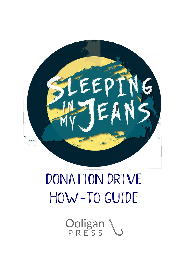# E E

# Donation Drive How-to Guide

Ooligan \<br>PRESS \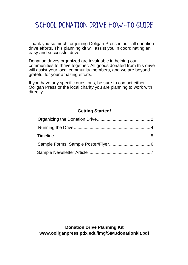# SCHOOL DONATION DRIVE HOW-TO GUIDE

Thank you so much for joining Ooligan Press in our fall donation drive efforts. This planning kit will assist you in coordinating an easy and successful drive.

Donation drives organized are invaluable in helping our communities to thrive together. All goods donated from this drive will assist your local community members, and we are beyond grateful for your amazing efforts.

If you have any specific questions, be sure to contact either Ooligan Press or the local charity you are planning to work with directly.

# **Getting Started!**

**Donation Drive Planning Kit [www.ooliganpress.pdx.edu/img/SIMJdonationkit.](http://www.ooliganpress.pdx.edu/SIMJdonationkit)pdf**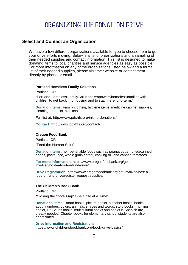# Organizing the donation drive

# <span id="page-2-0"></span>**Select and Contact an Organization**

We have a few different organizations available for you to choose from to get your drive efforts moving. Below is a list of organizations and a sampling of their needed supplies and contact information. This list is designed to make donating items to local charities and service agencies as easy as possible. For more information on any of the organizations listed below and a formal list of their needed supplies, please visit their website or contact them directly by phone or email.

### **Portland Homeless Family Solutions**

Portland, OR

"PortlandHomelessFamilySolutionsempowershomelessfamilieswith children to get back into housing and to stay there long-term."

**Donation Items:** Family clothing, hygiene items, medicine cabinet supplies, cleaning products, blankets.

Full list at:<http://www.pdxhfs.org/inkind-donations/>

**Contact:** <http://www.pdxhfs.org/contact/>

## **Oregon Food Bank**

Portland, OR "Feed the Human Spirit"

**Donation Items:** non-perishable foods such as peanut butter, dried/canned beans, pasta, rice, whole grain cereal, cooking oil, and canned tomatoes.

**For more information:** https:/[/www.oregonfoodbank.org/get](http://www.oregonfoodbank.org/get-)involved/host-a-food-or-fund-drive/

**Drive Registration:** https:/[/www.oregonfoodbank.org/get-involved/host-a](http://www.oregonfoodbank.org/get-involved/host-a-)food-or-fund-drive/register-request-supplies/

### **The Children's Book Bank**

Portland, OR

"Closing the 'Book Gap' One Child at a Time"

**Donations Items:** Board books, picture books, alphabet books, books about numbers, colors, animals, shapes and words, story books, rhyming books, Dr. Seuss books, multicultural books and books in Spanish are greatly needed. Chapter books for elementary school students are also appreciated.

**Drive Information and Registration:** https:/[/www.childrensbookbank.org/book-drive-basics/](http://www.childrensbookbank.org/book-drive-basics/)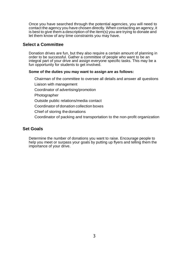Once you have searched through the potential agencies, you will need to contact the agency you have chosen directly. When contacting an agency, it is best to give them a description of the item(s) you are trying to donate and let them know of any time constraints you may have.

# **Select a Committee**

Donation drives are fun, but they also require a certain amount of planning in order to be successful. Gather a committee of people who want to be an integral part of your drive and assign everyone specific tasks. This may be a fun opportunity for students to get involved.

# **Some of the duties you may want to assign are as follows:**

Chairman of the committee to oversee all details and answer all questions Liaison with management Coordinator of advertising/promotion Photographer Outside public relations/media contact Coordinator of donation collection boxes Chief of storing the donations Coordinator of packing and transportation to the non-profit organization

# **Set Goals**

Determine the number of donations you want to raise. Encourage people to help you meet or surpass your goals by putting up flyers and telling them the importance of your drive.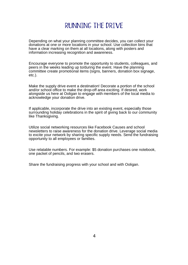# Running the drive

<span id="page-4-0"></span>Depending on what your planning committee decides, you can collect your donations at one or more locations in your school. Use collection bins that have a clear marking on them at all locations, along with posters and information increasing recognition and awareness.

Encourage everyone to promote the opportunity to students, colleagues, and peers in the weeks leading up to/during the event. Have the planning committee create promotional items (signs, banners, donation box signage, etc.).

Make the supply drive event a destination! Decorate a portion of the school and/or school office to make the drop-off area exciting. If desired, work alongside us here at Ooligan to engage with members of the local media to acknowledge your donation drive.

If applicable, incorporate the drive into an existing event, especially those surrounding holiday celebrations in the spirit of giving back to our community like Thanksgiving.

Utilize social networking resources like Facebook Causes and school newsletters to raise awareness for the donation drive. Leverage social media to excite your network by sharing specific supply needs. Send the fundraising opportunity to all employees or families.

Use relatable numbers. For example: \$5 donation purchases one notebook, one packet of pencils, and two erasers.

Share the fundraising progress with your school and with Ooligan.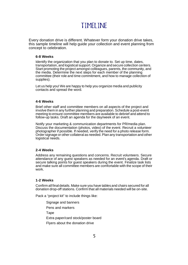# Timeline

<span id="page-5-0"></span>Every donation drive is different. Whatever form your donation drive takes, this sample timeline will help guide your collection and event planning from concept to celebration.

## **6-8 Weeks**

Identify the organization that you plan to donate to. Set up time, dates, transportation, and logistical support. Organize and secure collection centers. Start promoting the project amongst colleagues, parents, the community, and the media. Determine the next steps for each member of the planning committee (their role and time commitment, and how to manage collection of supplies).

Let us help you! We are happy to help you organize media and publicity contacts and spread the word.

### **4-6 Weeks**

Brief other staff and committee members on all aspects of the project and involve them in any further planning and preparation. Schedule a post-event meeting to ensure committee members are available to debrief and attend to follow-up tasks. Draft an agenda for the day/week of an event.

Notify your marketing & communication departments for PR/media plan. Discuss the documentation (photos, video) of the event. Recruit a volunteer photographer if possible. If needed, verify the need for a photo release form. Order signage or other collateral as needed.Plan any transportation and other logistical needs.

## **2-4 Weeks**

Address any remaining questions and concerns. Recruit volunteers. Secure attendance of any guest speakers as needed for an event's agenda. Draft or secure talking points for guest speakers during the event. Finalize task lists and make sure all committee members are comfortable with the scope of their work.

## **1-2 Weeks**

Confirm all final details. Make sure you have tables and chairs secured for all donation drop-off stations. Confirm that all materials needed will be on-site.

Pack a "project kit" to include things like:

Signage and banners Pens and markers **Tape** Extra paper/card stock/poster board Flyers about the donation drive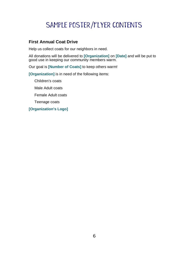# Sample poster/flyer contents

# **First Annual Coat Drive**

Help us collect coats for our neighbors in need.

All donations will be delivered to **[Organization]** on **[Date]** and will be put to good use in keeping our community members warm.

Our goal is **[Number of Coats]** to keep others warm!

**[Organization]** is in need of the following items:

Children's coats

Male Adult coats

Female Adult coats

Teenage coats

**[Organization's Logo]**